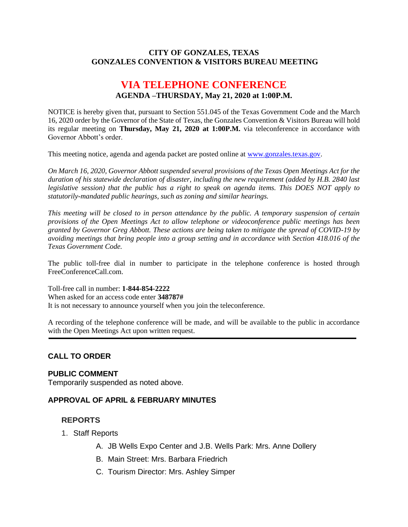#### **CITY OF GONZALES, TEXAS GONZALES CONVENTION & VISITORS BUREAU MEETING**

# **VIA TELEPHONE CONFERENCE AGENDA –THURSDAY, May 21, 2020 at 1:00P.M.**

NOTICE is hereby given that, pursuant to Section 551.045 of the Texas Government Code and the March 16, 2020 order by the Governor of the State of Texas, the Gonzales Convention & Visitors Bureau will hold its regular meeting on **Thursday, May 21, 2020 at 1:00P.M.** via teleconference in accordance with Governor Abbott's order.

This meeting notice, agenda and agenda packet are posted online at [www.gonzales.texas.gov.](http://www.gonzales.texas.gov/)

*On March 16, 2020, Governor Abbott suspended several provisions of the Texas Open Meetings Act for the duration of his statewide declaration of disaster, including the new requirement (added by H.B. 2840 last legislative session) that the public has a right to speak on agenda items. This DOES NOT apply to statutorily-mandated public hearings, such as zoning and similar hearings.* 

*This meeting will be closed to in person attendance by the public. A temporary suspension of certain provisions of the Open Meetings Act to allow telephone or videoconference public meetings has been granted by Governor Greg Abbott. These actions are being taken to mitigate the spread of COVID-19 by avoiding meetings that bring people into a group setting and in accordance with Section 418.016 of the Texas Government Code.*

The public toll-free dial in number to participate in the telephone conference is hosted through FreeConferenceCall.com.

Toll-free call in number: **1-844-854-2222** When asked for an access code enter **348787#**

It is not necessary to announce yourself when you join the teleconference.

A recording of the telephone conference will be made, and will be available to the public in accordance with the Open Meetings Act upon written request.

## **CALL TO ORDER**

#### **PUBLIC COMMENT**

Temporarily suspended as noted above.

#### **APPROVAL OF APRIL & FEBRUARY MINUTES**

#### **REPORTS**

- 1. Staff Reports
	- A. JB Wells Expo Center and J.B. Wells Park: Mrs. Anne Dollery
	- B. Main Street: Mrs. Barbara Friedrich
	- C. Tourism Director: Mrs. Ashley Simper